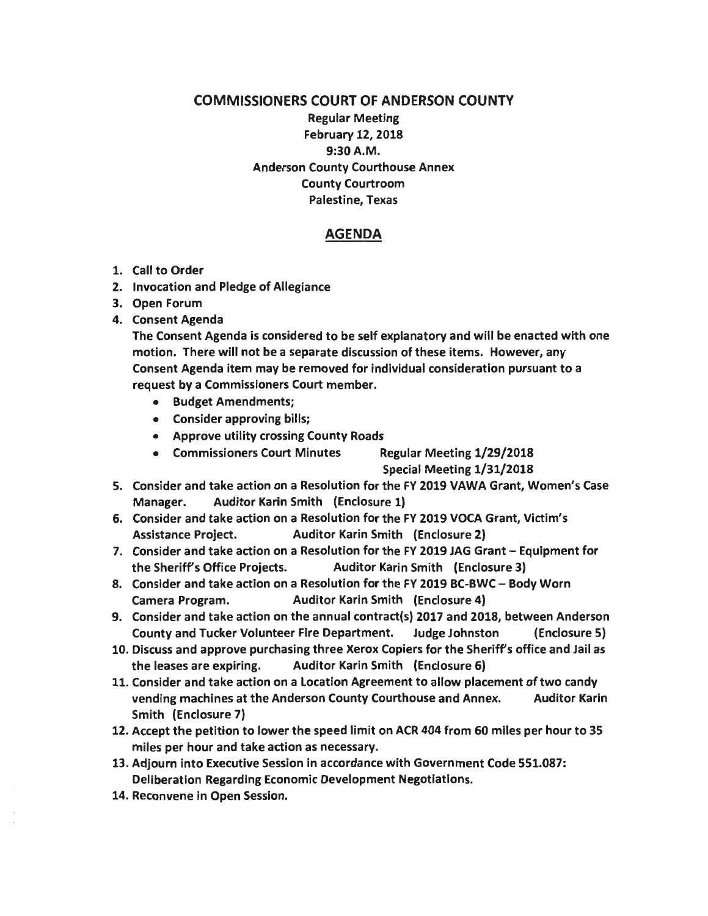## COMMISSIONERS COURT OF ANDERSON COUNTY Regular Meeting February 12, 2018 9:30A.M. Anderson County Courthouse Annex County Courtroom Palestine, Texas

## AGENDA

- 1. Call to Order
- 2. Invocation and Pledge of Allegiance
- 3. Open Forum
- 4. Consent Agenda

The Consent Agenda is considered to be self explanatory and will be enacted with one motion. There will not be a separate discussion of these items. However, any Consent Agenda item may be removed for individual consideration pursuant to a request by a Commissioners Court member.

- Budget Amendments;
- Consider approving bills;
- Approve utility crossing County Roads
- Commissioners Court Minutes Regular Meeting 1/29/2018

Special Meeting 1/31/2018

- 5. Consider and take action on a Resolution for the FY 2019 VAWA Grant, Women's Case Manager. Auditor Karin Smith (Enclosure 1)
- 6. Consider and take action on a Resolution for the FY 2019 VOCA Grant, Victim's Assistance Project. Auditor Karin Smith (Enclosure 2)
- 7. Consider and take action on a Resolution for the FY 2019 JAG Grant Equipment for the Sheriff's Office Projects. Auditor Karin Smith (Enclosure 3)
- 8. Consider and take action on a Resolution for the FY 2019 BC-BWC Body Worn Camera Program. Auditor Karin Smith (Enclosure 4)
- 9. Consider and take action on the annual contract(s) 2017 and 2018, between Anderson County and Tucker Volunteer Fire Department. Judge Johnston (Enclosure 5)
- 10. Discuss and approve purchasing three Xerox Copiers for the Sheriffs office and Jail as the leases are expiring. Auditor Karin Smith (Enclosure 6)
- 11. Consider and take action on a Location Agreement to allow placement of two candy vending machines at the Anderson County Courthouse and Annex. Auditor Karin Smith (Enclosure 7)
- 12. Accept the petition to lower the speed limit on ACR 404 from 60 miles per hour to 35 miles per hour and take action as necessary.
- 13. Adjourn into Executive Session in accordance with Government Code 551.087: Deliberation Regarding Economic Development Negotiations.
- 14. Reconvene in Open Session.